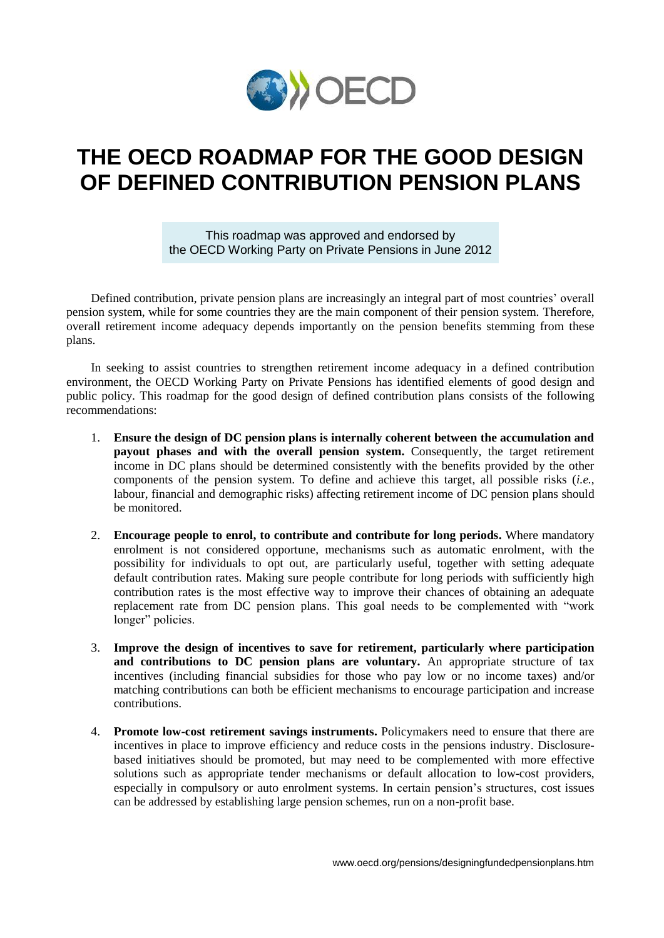

## **THE OECD ROADMAP FOR THE GOOD DESIGN OF DEFINED CONTRIBUTION PENSION PLANS**

This roadmap was approved and endorsed by the OECD Working Party on Private Pensions in June 2012

Defined contribution, private pension plans are increasingly an integral part of most countries' overall pension system, while for some countries they are the main component of their pension system. Therefore, overall retirement income adequacy depends importantly on the pension benefits stemming from these plans.

In seeking to assist countries to strengthen retirement income adequacy in a defined contribution environment, the OECD Working Party on Private Pensions has identified elements of good design and public policy. This roadmap for the good design of defined contribution plans consists of the following recommendations:

- 1. **Ensure the design of DC pension plans is internally coherent between the accumulation and payout phases and with the overall pension system.** Consequently, the target retirement income in DC plans should be determined consistently with the benefits provided by the other components of the pension system. To define and achieve this target, all possible risks (*i.e.*, labour, financial and demographic risks) affecting retirement income of DC pension plans should be monitored.
- 2. **Encourage people to enrol, to contribute and contribute for long periods.** Where mandatory enrolment is not considered opportune, mechanisms such as automatic enrolment, with the possibility for individuals to opt out, are particularly useful, together with setting adequate default contribution rates. Making sure people contribute for long periods with sufficiently high contribution rates is the most effective way to improve their chances of obtaining an adequate replacement rate from DC pension plans. This goal needs to be complemented with "work longer" policies.
- 3. **Improve the design of incentives to save for retirement, particularly where participation and contributions to DC pension plans are voluntary.** An appropriate structure of tax incentives (including financial subsidies for those who pay low or no income taxes) and/or matching contributions can both be efficient mechanisms to encourage participation and increase contributions.
- 4. **Promote low-cost retirement savings instruments.** Policymakers need to ensure that there are incentives in place to improve efficiency and reduce costs in the pensions industry. Disclosurebased initiatives should be promoted, but may need to be complemented with more effective solutions such as appropriate tender mechanisms or default allocation to low-cost providers, especially in compulsory or auto enrolment systems. In certain pension's structures, cost issues can be addressed by establishing large pension schemes, run on a non-profit base.